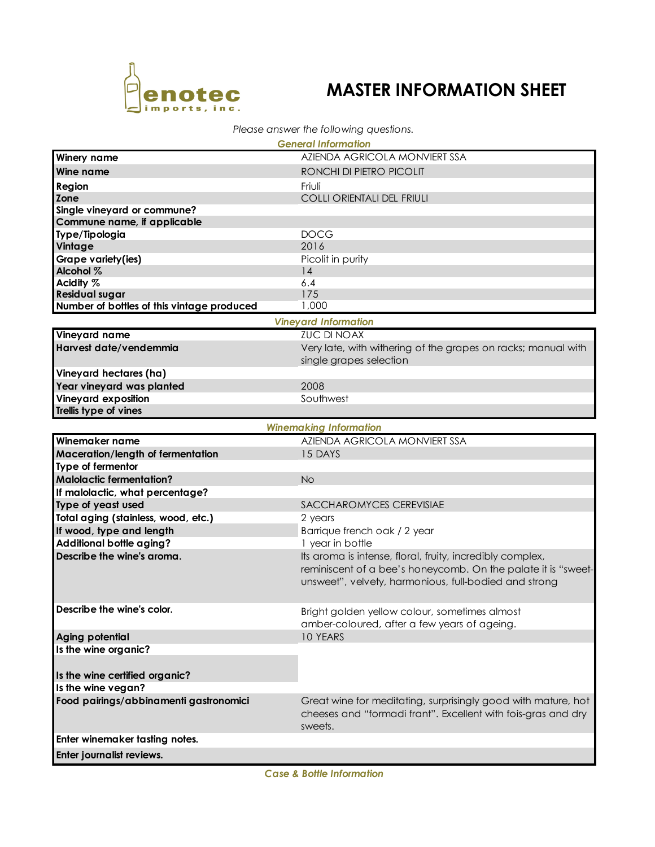

## **MASTER INFORMATION SHEET**

## *Please answer the following questions.*

| <b>General Information</b>                 |                                                                                                                            |  |  |  |  |  |
|--------------------------------------------|----------------------------------------------------------------------------------------------------------------------------|--|--|--|--|--|
| <b>Winery name</b>                         | AZIENDA AGRICOLA MONVIERT SSA                                                                                              |  |  |  |  |  |
| Wine name                                  | RONCHI DI PIETRO PICOLIT                                                                                                   |  |  |  |  |  |
| Region                                     | Friuli                                                                                                                     |  |  |  |  |  |
| Zone                                       | <b>COLLI ORIENTALI DEL FRIULI</b>                                                                                          |  |  |  |  |  |
| Single vineyard or commune?                |                                                                                                                            |  |  |  |  |  |
| Commune name, if applicable                |                                                                                                                            |  |  |  |  |  |
| Type/Tipologia                             | <b>DOCG</b>                                                                                                                |  |  |  |  |  |
| Vintage                                    | 2016                                                                                                                       |  |  |  |  |  |
| Grape variety(ies)                         | Picolit in purity                                                                                                          |  |  |  |  |  |
| Alcohol %                                  | 14                                                                                                                         |  |  |  |  |  |
| Acidity %                                  | 6.4                                                                                                                        |  |  |  |  |  |
| <b>Residual sugar</b>                      | 175<br>1,000                                                                                                               |  |  |  |  |  |
| Number of bottles of this vintage produced |                                                                                                                            |  |  |  |  |  |
| <b>Vineyard Information</b>                |                                                                                                                            |  |  |  |  |  |
| Vineyard name                              | <b>ZUC DI NOAX</b>                                                                                                         |  |  |  |  |  |
| Harvest date/vendemmia                     | Very late, with withering of the grapes on racks; manual with                                                              |  |  |  |  |  |
|                                            | single grapes selection                                                                                                    |  |  |  |  |  |
| Vineyard hectares (ha)                     |                                                                                                                            |  |  |  |  |  |
| Year vineyard was planted                  | 2008                                                                                                                       |  |  |  |  |  |
| <b>Vineyard exposition</b>                 | Southwest                                                                                                                  |  |  |  |  |  |
| Trellis type of vines                      |                                                                                                                            |  |  |  |  |  |
|                                            | <b>Winemaking Information</b>                                                                                              |  |  |  |  |  |
| Winemaker name                             | AZIENDA AGRICOLA MONVIERT SSA                                                                                              |  |  |  |  |  |
| Maceration/length of fermentation          | 15 DAYS                                                                                                                    |  |  |  |  |  |
| Type of fermentor                          |                                                                                                                            |  |  |  |  |  |
| <b>Malolactic fermentation?</b>            | <b>No</b>                                                                                                                  |  |  |  |  |  |
| If malolactic, what percentage?            |                                                                                                                            |  |  |  |  |  |
| Type of yeast used                         | SACCHAROMYCES CEREVISIAE                                                                                                   |  |  |  |  |  |
| Total aging (stainless, wood, etc.)        | 2 years                                                                                                                    |  |  |  |  |  |
| If wood, type and length                   | Barrique french oak / 2 year                                                                                               |  |  |  |  |  |
| Additional bottle aging?                   | 1 year in bottle                                                                                                           |  |  |  |  |  |
| Describe the wine's aroma.                 | Its aroma is intense, floral, fruity, incredibly complex,<br>reminiscent of a bee's honeycomb. On the palate it is "sweet- |  |  |  |  |  |
|                                            | unsweet", velvety, harmonious, full-bodied and strong                                                                      |  |  |  |  |  |
| Describe the wine's color.                 | Bright golden yellow colour, sometimes almost<br>amber-coloured, after a few years of ageing.                              |  |  |  |  |  |
| Aging potential                            | 10 YEARS                                                                                                                   |  |  |  |  |  |
| Is the wine organic?                       |                                                                                                                            |  |  |  |  |  |
|                                            |                                                                                                                            |  |  |  |  |  |
| Is the wine certified organic?             |                                                                                                                            |  |  |  |  |  |
| Is the wine vegan?                         |                                                                                                                            |  |  |  |  |  |
| Food pairings/abbinamenti gastronomici     | Great wine for meditating, surprisingly good with mature, hot                                                              |  |  |  |  |  |
|                                            | cheeses and "formadi frant". Excellent with fois-gras and dry<br>sweets.                                                   |  |  |  |  |  |
| Enter winemaker tasting notes.             |                                                                                                                            |  |  |  |  |  |
| Enter journalist reviews.                  |                                                                                                                            |  |  |  |  |  |